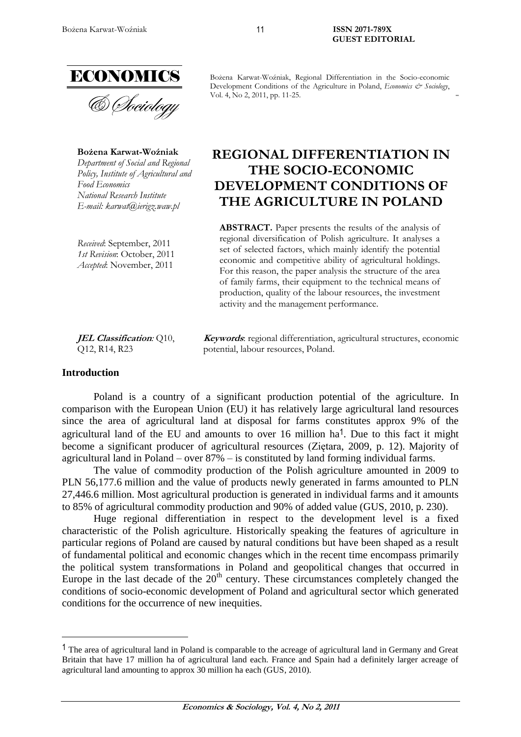

**Bożena Karwat-Woźniak** *Department of Social and Regional Policy, Institute of Agricultural and Food Economics National Research Institute E-mail: karwat@ierigz.waw.pl*

*Received*: September, 2011 *1st Revision*: October, 2011 *Accepted*: November, 2011

**JEL Classification***:* Q10, Q12, R14, R23

Bożena Karwat-Woźniak, Regional Differentiation in the Socio-economic Development Conditions of the Agriculture in Poland, *Economics & Sociology*, Vol. 4, No 2, 2011, pp. 11-25.

# **REGIONAL DIFFERENTIATION IN THE SOCIO-ECONOMIC DEVELOPMENT CONDITIONS OF THE AGRICULTURE IN POLAND**

**ABSTRACT.** Paper presents the results of the analysis of regional diversification of Polish agriculture. It analyses a set of selected factors, which mainly identify the potential economic and competitive ability of agricultural holdings. For this reason, the paper analysis the structure of the area of family farms, their equipment to the technical means of production, quality of the labour resources, the investment activity and the management performance.

**Keywords**: regional differentiation, agricultural structures, economic potential, labour resources, Poland.

#### **Introduction**

 $\overline{a}$ 

Poland is a country of a significant production potential of the agriculture. In comparison with the European Union (EU) it has relatively large agricultural land resources since the area of agricultural land at disposal for farms constitutes approx 9% of the agricultural land of the EU and amounts to over 16 million  $ha^1$ . Due to this fact it might become a significant producer of agricultural resources (Ziętara, 2009, p. 12). Majority of agricultural land in Poland – over 87% – is constituted by land forming individual farms.

The value of commodity production of the Polish agriculture amounted in 2009 to PLN 56,177.6 million and the value of products newly generated in farms amounted to PLN 27,446.6 million. Most agricultural production is generated in individual farms and it amounts to 85% of agricultural commodity production and 90% of added value (GUS, 2010, p. 230).

Huge regional differentiation in respect to the development level is a fixed characteristic of the Polish agriculture. Historically speaking the features of agriculture in particular regions of Poland are caused by natural conditions but have been shaped as a result of fundamental political and economic changes which in the recent time encompass primarily the political system transformations in Poland and geopolitical changes that occurred in Europe in the last decade of the  $20<sup>th</sup>$  century. These circumstances completely changed the conditions of socio-economic development of Poland and agricultural sector which generated conditions for the occurrence of new inequities.

<sup>&</sup>lt;sup>1</sup> The area of agricultural land in Poland is comparable to the acreage of agricultural land in Germany and Great Britain that have 17 million ha of agricultural land each. France and Spain had a definitely larger acreage of agricultural land amounting to approx 30 million ha each (GUS, 2010).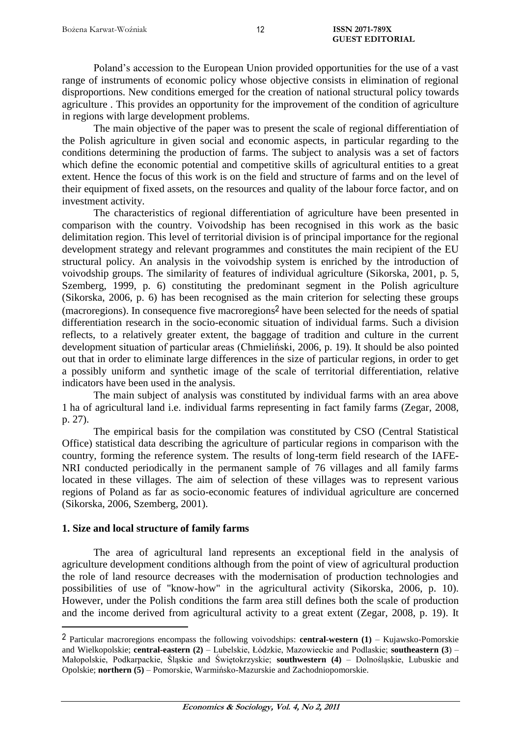Poland's accession to the European Union provided opportunities for the use of a vast range of instruments of economic policy whose objective consists in elimination of regional disproportions. New conditions emerged for the creation of national structural policy towards agriculture . This provides an opportunity for the improvement of the condition of agriculture in regions with large development problems.

The main objective of the paper was to present the scale of regional differentiation of the Polish agriculture in given social and economic aspects, in particular regarding to the conditions determining the production of farms. The subject to analysis was a set of factors which define the economic potential and competitive skills of agricultural entities to a great extent. Hence the focus of this work is on the field and structure of farms and on the level of their equipment of fixed assets, on the resources and quality of the labour force factor, and on investment activity.

The characteristics of regional differentiation of agriculture have been presented in comparison with the country. Voivodship has been recognised in this work as the basic delimitation region. This level of territorial division is of principal importance for the regional development strategy and relevant programmes and constitutes the main recipient of the EU structural policy. An analysis in the voivodship system is enriched by the introduction of voivodship groups. The similarity of features of individual agriculture (Sikorska, 2001, p. 5, Szemberg, 1999, p. 6) constituting the predominant segment in the Polish agriculture (Sikorska, 2006, p. 6) has been recognised as the main criterion for selecting these groups (macroregions). In consequence five macroregions 2 have been selected for the needs of spatial differentiation research in the socio-economic situation of individual farms. Such a division reflects, to a relatively greater extent, the baggage of tradition and culture in the current development situation of particular areas (Chmieliński, 2006, p. 19). It should be also pointed out that in order to eliminate large differences in the size of particular regions, in order to get a possibly uniform and synthetic image of the scale of territorial differentiation, relative indicators have been used in the analysis.

The main subject of analysis was constituted by individual farms with an area above 1 ha of agricultural land i.e. individual farms representing in fact family farms (Zegar, 2008, p. 27).

The empirical basis for the compilation was constituted by CSO (Central Statistical Office) statistical data describing the agriculture of particular regions in comparison with the country, forming the reference system. The results of long-term field research of the IAFE-NRI conducted periodically in the permanent sample of 76 villages and all family farms located in these villages. The aim of selection of these villages was to represent various regions of Poland as far as socio-economic features of individual agriculture are concerned (Sikorska, 2006, Szemberg, 2001).

#### **1. Size and local structure of family farms**

 $\overline{a}$ 

The area of agricultural land represents an exceptional field in the analysis of agriculture development conditions although from the point of view of agricultural production the role of land resource decreases with the modernisation of production technologies and possibilities of use of "know-how" in the agricultural activity (Sikorska, 2006, p. 10). However, under the Polish conditions the farm area still defines both the scale of production and the income derived from agricultural activity to a great extent (Zegar, 2008, p. 19). It

<sup>2</sup> Particular macroregions encompass the following voivodships: **central-western (1)** – Kujawsko-Pomorskie and Wielkopolskie; **central-eastern (2)** – Lubelskie, Łódzkie, Mazowieckie and Podlaskie; **southeastern (3**) – Małopolskie, Podkarpackie, Śląskie and Świętokrzyskie; **southwestern (4)** – Dolnośląskie, Lubuskie and Opolskie; **northern (5)** – Pomorskie, Warmińsko-Mazurskie and Zachodniopomorskie.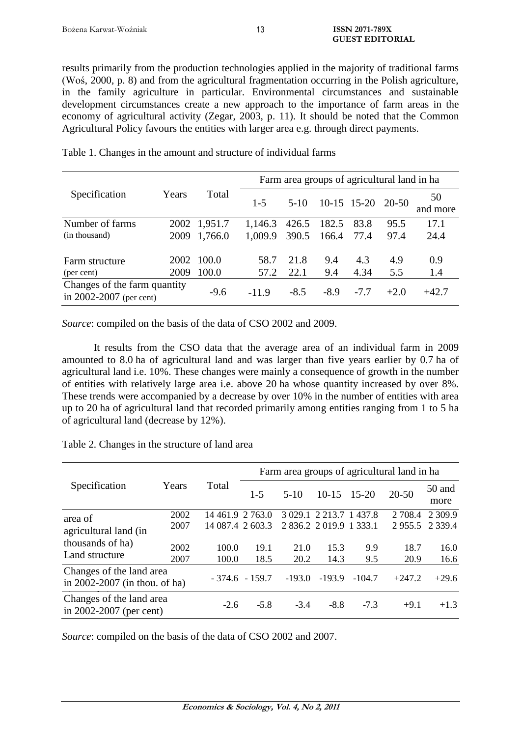results primarily from the production technologies applied in the majority of traditional farms (Woś, 2000, p. 8) and from the agricultural fragmentation occurring in the Polish agriculture, in the family agriculture in particular. Environmental circumstances and sustainable development circumstances create a new approach to the importance of farm areas in the economy of agricultural activity (Zegar, 2003, p. 11). It should be noted that the Common Agricultural Policy favours the entities with larger area e.g. through direct payments.

| Specification                                               | Years        | Total                   | Farm area groups of agricultural land in ha |                |                |               |              |                |
|-------------------------------------------------------------|--------------|-------------------------|---------------------------------------------|----------------|----------------|---------------|--------------|----------------|
|                                                             |              |                         | $1 - 5$                                     | $5-10$         |                | $10-15$ 15-20 | 20-50        | 50<br>and more |
| Number of farms<br>(in thousand)                            | 2009         | 2002 1,951.7<br>1,766.0 | 1,146.3<br>1,009.9                          | 426.5<br>390.5 | 182.5<br>166.4 | 83.8<br>77.4  | 95.5<br>97.4 | 17.1<br>24.4   |
| Farm structure<br>(per cent)                                | 2002<br>2009 | 100.0<br>100.0          | 58.7<br>57.2                                | 21.8<br>22.1   | 9.4<br>9.4     | 4.3<br>4.34   | 4.9<br>5.5   | 0.9<br>1.4     |
| Changes of the farm quantity<br>in $2002 - 2007$ (per cent) |              | $-9.6$                  | $-11.9$                                     | $-8.5$         | $-8.9$         | $-7.7$        | $+2.0$       | $+42.7$        |

Table 1. Changes in the amount and structure of individual farms

Source: compiled on the basis of the data of CSO 2002 and 2009.

It results from the CSO data that the average area of an individual farm in 2009 amounted to 8.0 ha of agricultural land and was larger than five years earlier by 0.7 ha of agricultural land i.e. 10%. These changes were mainly a consequence of growth in the number of entities with relatively large area i.e. above 20 ha whose quantity increased by over 8%. These trends were accompanied by a decrease by over 10% in the number of entities with area up to 20 ha of agricultural land that recorded primarily among entities ranging from 1 to 5 ha of agricultural land (decrease by 12%).

|                                                                        | Years | Total            | Farm area groups of agricultural land in ha |          |                         |          |            |                 |  |
|------------------------------------------------------------------------|-------|------------------|---------------------------------------------|----------|-------------------------|----------|------------|-----------------|--|
| Specification                                                          |       |                  | $1 - 5$                                     | $5 - 10$ | $10-15$                 | 15-20    | $20 - 50$  | 50 and<br>more  |  |
| area of<br>agricultural land (in<br>thousands of ha)<br>Land structure | 2002  | 14 461.9 2 763.0 |                                             |          | 3 029.1 2 213.7 1 437.8 |          | 2 7 0 8 .4 | 2 3 0 9.9       |  |
|                                                                        | 2007  | 14 087.4 2 603.3 |                                             |          | 2 836.2 2 019.9 1 333.1 |          |            | 2 955.5 2 339.4 |  |
|                                                                        | 2002  | 100.0            | 19.1                                        | 21.0     | 15.3                    | 9.9      | 18.7       | 16.0            |  |
|                                                                        | 2007  | 100.0            | 18.5                                        | 20.2     | 14.3                    | 9.5      | 20.9       | 16.6            |  |
| Changes of the land area<br>in $2002-2007$ (in thou. of ha)            |       |                  | $-374.6 - 159.7$                            | $-193.0$ | $-193.9$                | $-104.7$ | $+247.2$   | $+29.6$         |  |
| Changes of the land area<br>in $2002 - 2007$ (per cent)                |       | $-2.6$           | $-5.8$                                      | $-3.4$   | $-8.8$                  | $-7.3$   | $+9.1$     | $+1.3$          |  |

Table 2. Changes in the structure of land area

*Source*: compiled on the basis of the data of CSO 2002 and 2007.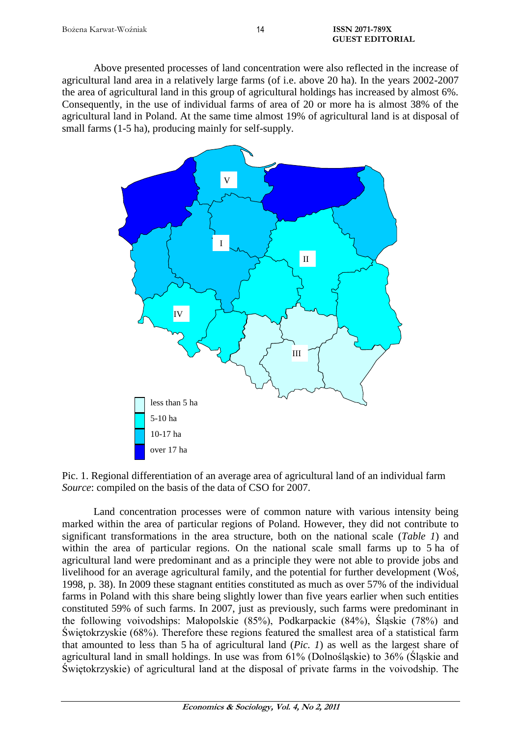Above presented processes of land concentration were also reflected in the increase of agricultural land area in a relatively large farms (of i.e. above 20 ha). In the years 2002-2007 the area of agricultural land in this group of agricultural holdings has increased by almost 6%. Consequently, in the use of individual farms of area of 20 or more ha is almost 38% of the agricultural land in Poland. At the same time almost 19% of agricultural land is at disposal of small farms (1-5 ha), producing mainly for self-supply.



Pic. 1. Regional differentiation of an average area of agricultural land of an individual farm *Source*: compiled on the basis of the data of CSO for 2007.

Land concentration processes were of common nature with various intensity being marked within the area of particular regions of Poland. However, they did not contribute to significant transformations in the area structure, both on the national scale (*Table 1*) and within the area of particular regions. On the national scale small farms up to 5 ha of agricultural land were predominant and as a principle they were not able to provide jobs and livelihood for an average agricultural family, and the potential for further development (Woś, 1998, p. 38). In 2009 these stagnant entities constituted as much as over 57% of the individual farms in Poland with this share being slightly lower than five years earlier when such entities constituted 59% of such farms. In 2007, just as previously, such farms were predominant in the following voivodships: Małopolskie (85%), Podkarpackie (84%), Śląskie (78%) and Świętokrzyskie (68%). Therefore these regions featured the smallest area of a statistical farm that amounted to less than 5 ha of agricultural land (*Pic. 1*) as well as the largest share of agricultural land in small holdings. In use was from 61% (Dolnośląskie) to 36% (Śląskie and Świętokrzyskie) of agricultural land at the disposal of private farms in the voivodship. The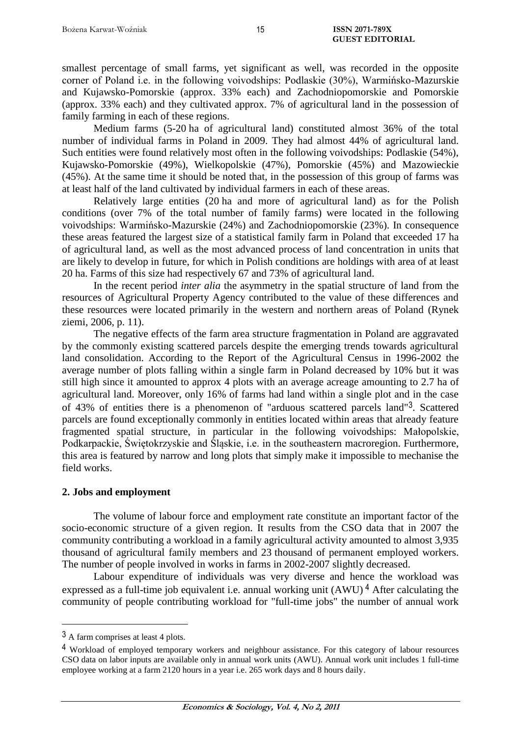smallest percentage of small farms, yet significant as well, was recorded in the opposite corner of Poland i.e. in the following voivodships: Podlaskie (30%), Warmińsko-Mazurskie and Kujawsko-Pomorskie (approx. 33% each) and Zachodniopomorskie and Pomorskie (approx. 33% each) and they cultivated approx. 7% of agricultural land in the possession of family farming in each of these regions.

Medium farms (5-20 ha of agricultural land) constituted almost 36% of the total number of individual farms in Poland in 2009. They had almost 44% of agricultural land. Such entities were found relatively most often in the following voivodships: Podlaskie (54%), Kujawsko-Pomorskie (49%), Wielkopolskie (47%), Pomorskie (45%) and Mazowieckie (45%). At the same time it should be noted that, in the possession of this group of farms was at least half of the land cultivated by individual farmers in each of these areas.

Relatively large entities (20 ha and more of agricultural land) as for the Polish conditions (over 7% of the total number of family farms) were located in the following voivodships: Warmińsko-Mazurskie (24%) and Zachodniopomorskie (23%). In consequence these areas featured the largest size of a statistical family farm in Poland that exceeded 17 ha of agricultural land, as well as the most advanced process of land concentration in units that are likely to develop in future, for which in Polish conditions are holdings with area of at least 20 ha. Farms of this size had respectively 67 and 73% of agricultural land.

In the recent period *inter alia* the asymmetry in the spatial structure of land from the resources of Agricultural Property Agency contributed to the value of these differences and these resources were located primarily in the western and northern areas of Poland (Rynek ziemi, 2006, p. 11).

The negative effects of the farm area structure fragmentation in Poland are aggravated by the commonly existing scattered parcels despite the emerging trends towards agricultural land consolidation. According to the Report of the Agricultural Census in 1996-2002 the average number of plots falling within a single farm in Poland decreased by 10% but it was still high since it amounted to approx 4 plots with an average acreage amounting to 2.7 ha of agricultural land. Moreover, only 16% of farms had land within a single plot and in the case of 43% of entities there is a phenomenon of "arduous scattered parcels land"3. Scattered parcels are found exceptionally commonly in entities located within areas that already feature fragmented spatial structure, in particular in the following voivodships: Małopolskie, Podkarpackie, Świętokrzyskie and Śląskie, i.e. in the southeastern macroregion. Furthermore, this area is featured by narrow and long plots that simply make it impossible to mechanise the field works.

#### **2. Jobs and employment**

The volume of labour force and employment rate constitute an important factor of the socio-economic structure of a given region. It results from the CSO data that in 2007 the community contributing a workload in a family agricultural activity amounted to almost 3,935 thousand of agricultural family members and 23 thousand of permanent employed workers. The number of people involved in works in farms in 2002-2007 slightly decreased.

Labour expenditure of individuals was very diverse and hence the workload was expressed as a full-time job equivalent i.e. annual working unit  $(AWU)^4$  After calculating the community of people contributing workload for "full-time jobs" the number of annual work

 $\overline{a}$ 

<sup>3</sup> A farm comprises at least 4 plots.

<sup>4</sup> Workload of employed temporary workers and neighbour assistance. For this category of labour resources CSO data on labor inputs are available only in annual work units (AWU). Annual work unit includes 1 full-time employee working at a farm 2120 hours in a year i.e. 265 work days and 8 hours daily.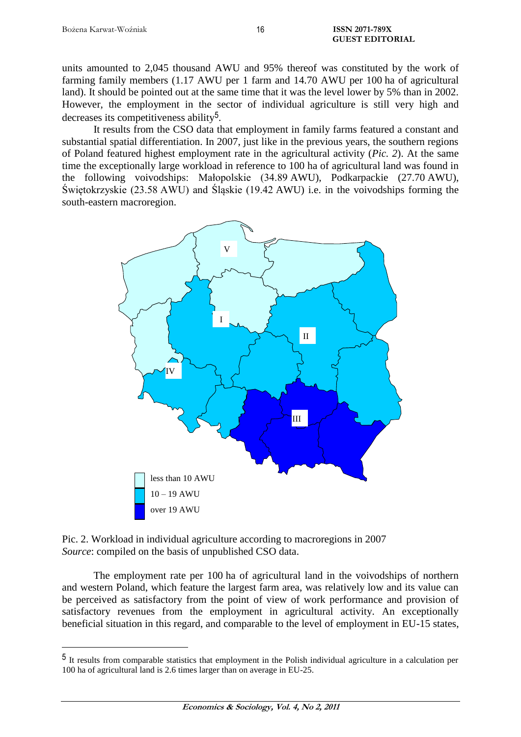$\overline{a}$ 

units amounted to 2,045 thousand AWU and 95% thereof was constituted by the work of farming family members (1.17 AWU per 1 farm and 14.70 AWU per 100 ha of agricultural land). It should be pointed out at the same time that it was the level lower by 5% than in 2002. However, the employment in the sector of individual agriculture is still very high and decreases its competitiveness ability5.

It results from the CSO data that employment in family farms featured a constant and substantial spatial differentiation. In 2007, just like in the previous years, the southern regions of Poland featured highest employment rate in the agricultural activity (*Pic. 2*). At the same time the exceptionally large workload in reference to 100 ha of agricultural land was found in the following voivodships: Małopolskie (34.89 AWU), Podkarpackie (27.70 AWU), Świętokrzyskie (23.58 AWU) and Śląskie (19.42 AWU) i.e. in the voivodships forming the south-eastern macroregion.



Pic. 2. Workload in individual agriculture according to macroregions in 2007 *Source*: compiled on the basis of unpublished CSO data.

The employment rate per 100 ha of agricultural land in the voivodships of northern and western Poland, which feature the largest farm area, was relatively low and its value can be perceived as satisfactory from the point of view of work performance and provision of satisfactory revenues from the employment in agricultural activity. An exceptionally beneficial situation in this regard, and comparable to the level of employment in EU-15 states,

<sup>5</sup> It results from comparable statistics that employment in the Polish individual agriculture in a calculation per 100 ha of agricultural land is 2.6 times larger than on average in EU-25.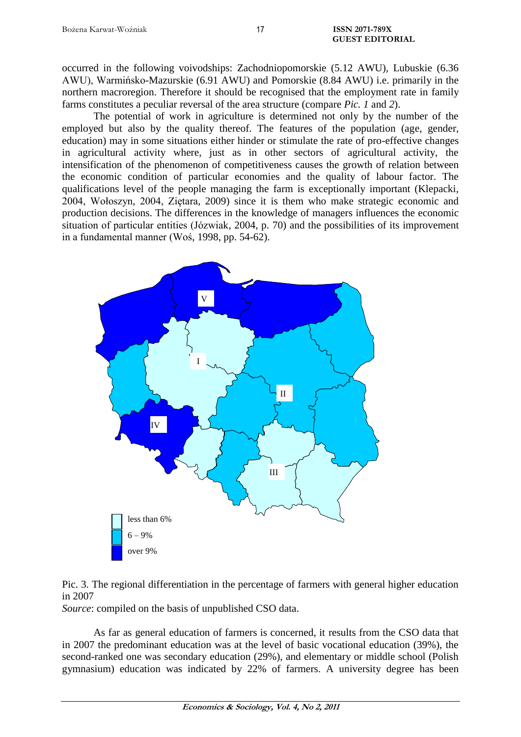occurred in the following voivodships: Zachodniopomorskie (5.12 AWU), Lubuskie (6.36 AWU), Warmińsko-Mazurskie (6.91 AWU) and Pomorskie (8.84 AWU) i.e. primarily in the northern macroregion. Therefore it should be recognised that the employment rate in family farms constitutes a peculiar reversal of the area structure (compare *Pic. 1* and *2*).

The potential of work in agriculture is determined not only by the number of the employed but also by the quality thereof. The features of the population (age, gender, education) may in some situations either hinder or stimulate the rate of pro-effective changes in agricultural activity where, just as in other sectors of agricultural activity, the intensification of the phenomenon of competitiveness causes the growth of relation between the economic condition of particular economies and the quality of labour factor. The qualifications level of the people managing the farm is exceptionally important (Klepacki, 2004, Wołoszyn, 2004, Ziętara, 2009) since it is them who make strategic economic and production decisions. The differences in the knowledge of managers influences the economic situation of particular entities (Józwiak, 2004, p. 70) and the possibilities of its improvement in a fundamental manner (Woś, 1998, pp. 54-62).



Pic. 3. The regional differentiation in the percentage of farmers with general higher education in 2007

*Source*: compiled on the basis of unpublished CSO data.

As far as general education of farmers is concerned, it results from the CSO data that in 2007 the predominant education was at the level of basic vocational education (39%), the second-ranked one was secondary education (29%), and elementary or middle school (Polish gymnasium) education was indicated by 22% of farmers. A university degree has been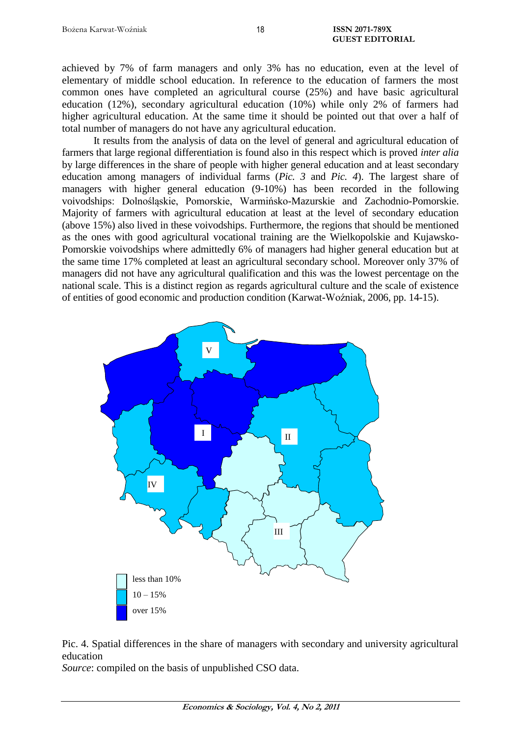achieved by 7% of farm managers and only 3% has no education, even at the level of elementary of middle school education. In reference to the education of farmers the most common ones have completed an agricultural course (25%) and have basic agricultural education (12%), secondary agricultural education (10%) while only 2% of farmers had higher agricultural education. At the same time it should be pointed out that over a half of total number of managers do not have any agricultural education.

It results from the analysis of data on the level of general and agricultural education of farmers that large regional differentiation is found also in this respect which is proved *inter alia* by large differences in the share of people with higher general education and at least secondary education among managers of individual farms (*Pic. 3* and *Pic. 4*). The largest share of managers with higher general education (9-10%) has been recorded in the following voivodships: Dolnośląskie, Pomorskie, Warmińsko-Mazurskie and Zachodnio-Pomorskie. Majority of farmers with agricultural education at least at the level of secondary education (above 15%) also lived in these voivodships. Furthermore, the regions that should be mentioned as the ones with good agricultural vocational training are the Wielkopolskie and Kujawsko-Pomorskie voivodships where admittedly 6% of managers had higher general education but at the same time 17% completed at least an agricultural secondary school. Moreover only 37% of managers did not have any agricultural qualification and this was the lowest percentage on the national scale. This is a distinct region as regards agricultural culture and the scale of existence of entities of good economic and production condition (Karwat-Woźniak, 2006, pp. 14-15).





*Source*: compiled on the basis of unpublished CSO data.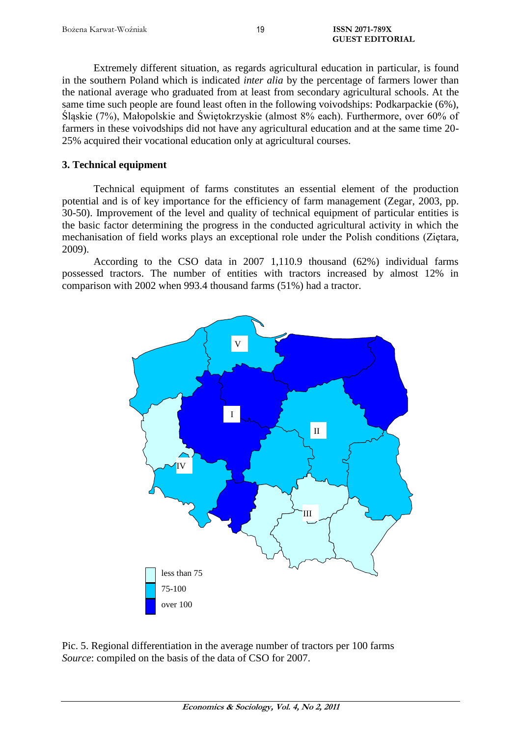Extremely different situation, as regards agricultural education in particular, is found in the southern Poland which is indicated *inter alia* by the percentage of farmers lower than the national average who graduated from at least from secondary agricultural schools. At the same time such people are found least often in the following voivodships: Podkarpackie (6%), Śląskie (7%), Małopolskie and Świętokrzyskie (almost 8% each). Furthermore, over 60% of farmers in these voivodships did not have any agricultural education and at the same time 20- 25% acquired their vocational education only at agricultural courses.

## **3. Technical equipment**

Technical equipment of farms constitutes an essential element of the production potential and is of key importance for the efficiency of farm management (Zegar, 2003, pp. 30-50). Improvement of the level and quality of technical equipment of particular entities is the basic factor determining the progress in the conducted agricultural activity in which the mechanisation of field works plays an exceptional role under the Polish conditions (Ziętara, 2009).

According to the CSO data in 2007 1,110.9 thousand (62%) individual farms possessed tractors. The number of entities with tractors increased by almost 12% in comparison with 2002 when 993.4 thousand farms (51%) had a tractor.



Pic. 5. Regional differentiation in the average number of tractors per 100 farms *Source*: compiled on the basis of the data of CSO for 2007.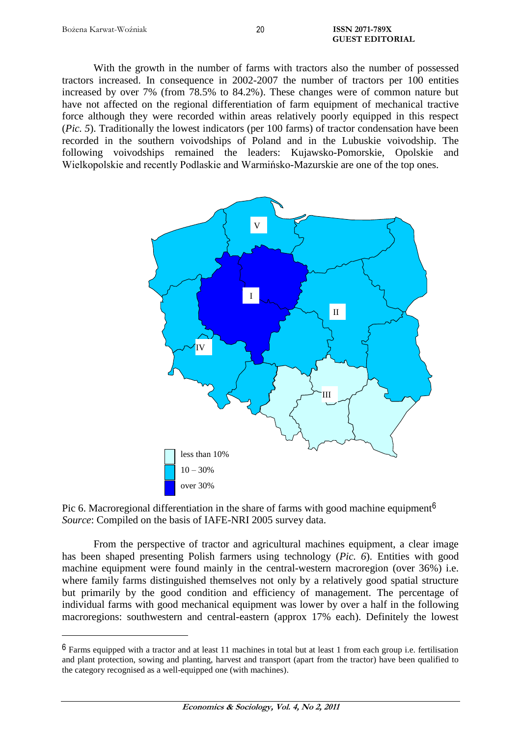$\overline{a}$ 

With the growth in the number of farms with tractors also the number of possessed tractors increased. In consequence in 2002-2007 the number of tractors per 100 entities increased by over 7% (from 78.5% to 84.2%). These changes were of common nature but have not affected on the regional differentiation of farm equipment of mechanical tractive force although they were recorded within areas relatively poorly equipped in this respect (*Pic. 5*). Traditionally the lowest indicators (per 100 farms) of tractor condensation have been recorded in the southern voivodships of Poland and in the Lubuskie voivodship. The following voivodships remained the leaders: Kujawsko-Pomorskie, Opolskie and Wielkopolskie and recently Podlaskie and Warmińsko-Mazurskie are one of the top ones.



Pic 6. Macroregional differentiation in the share of farms with good machine equipment<sup>6</sup> *Source*: Compiled on the basis of IAFE-NRI 2005 survey data.

From the perspective of tractor and agricultural machines equipment, a clear image has been shaped presenting Polish farmers using technology (*Pic. 6*). Entities with good machine equipment were found mainly in the central-western macroregion (over 36%) i.e. where family farms distinguished themselves not only by a relatively good spatial structure but primarily by the good condition and efficiency of management. The percentage of individual farms with good mechanical equipment was lower by over a half in the following macroregions: southwestern and central-eastern (approx 17% each). Definitely the lowest

<sup>6</sup> Farms equipped with a tractor and at least 11 machines in total but at least 1 from each group i.e. fertilisation and plant protection, sowing and planting, harvest and transport (apart from the tractor) have been qualified to the category recognised as a well-equipped one (with machines).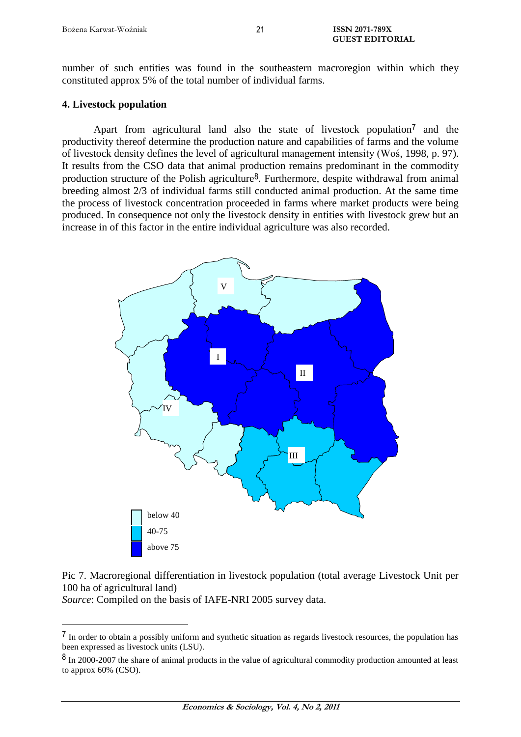number of such entities was found in the southeastern macroregion within which they constituted approx 5% of the total number of individual farms.

### **4. Livestock population**

Apart from agricultural land also the state of livestock population<sup>7</sup> and the productivity thereof determine the production nature and capabilities of farms and the volume of livestock density defines the level of agricultural management intensity (Woś, 1998, p. 97). It results from the CSO data that animal production remains predominant in the commodity production structure of the Polish agriculture<sup>8</sup>. Furthermore, despite withdrawal from animal breeding almost 2/3 of individual farms still conducted animal production. At the same time the process of livestock concentration proceeded in farms where market products were being produced. In consequence not only the livestock density in entities with livestock grew but an increase in of this factor in the entire individual agriculture was also recorded.



Pic 7. Macroregional differentiation in livestock population (total average Livestock Unit per 100 ha of agricultural land)

*Source*: Compiled on the basis of IAFE-NRI 2005 survey data.

 $\overline{a}$ 

21

<sup>7</sup> In order to obtain a possibly uniform and synthetic situation as regards livestock resources, the population has been expressed as livestock units (LSU).

<sup>&</sup>lt;sup>8</sup> In 2000-2007 the share of animal products in the value of agricultural commodity production amounted at least to approx 60% (CSO).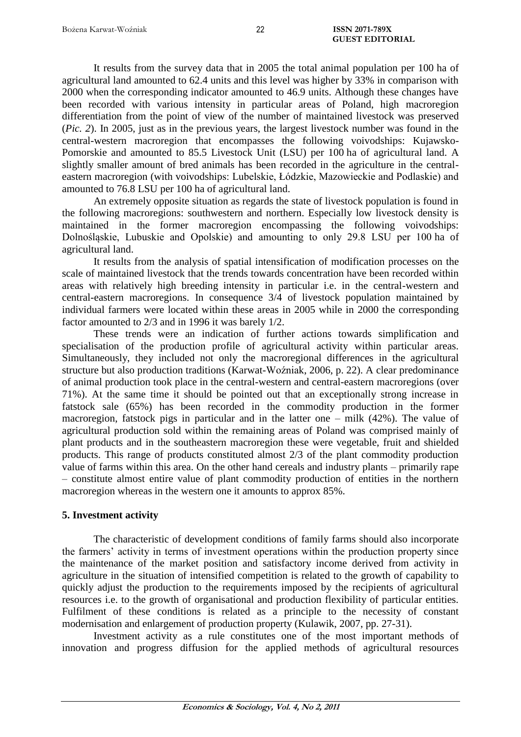It results from the survey data that in 2005 the total animal population per 100 ha of agricultural land amounted to 62.4 units and this level was higher by 33% in comparison with 2000 when the corresponding indicator amounted to 46.9 units. Although these changes have been recorded with various intensity in particular areas of Poland, high macroregion differentiation from the point of view of the number of maintained livestock was preserved (*Pic. 2*). In 2005, just as in the previous years, the largest livestock number was found in the central-western macroregion that encompasses the following voivodships: Kujawsko-Pomorskie and amounted to 85.5 Livestock Unit (LSU) per 100 ha of agricultural land. A slightly smaller amount of bred animals has been recorded in the agriculture in the centraleastern macroregion (with voivodships: Lubelskie, Łódzkie, Mazowieckie and Podlaskie) and amounted to 76.8 LSU per 100 ha of agricultural land.

An extremely opposite situation as regards the state of livestock population is found in the following macroregions: southwestern and northern. Especially low livestock density is maintained in the former macroregion encompassing the following voivodships: Dolnośląskie, Lubuskie and Opolskie) and amounting to only 29.8 LSU per 100 ha of agricultural land.

It results from the analysis of spatial intensification of modification processes on the scale of maintained livestock that the trends towards concentration have been recorded within areas with relatively high breeding intensity in particular i.e. in the central-western and central-eastern macroregions. In consequence 3/4 of livestock population maintained by individual farmers were located within these areas in 2005 while in 2000 the corresponding factor amounted to 2/3 and in 1996 it was barely 1/2.

These trends were an indication of further actions towards simplification and specialisation of the production profile of agricultural activity within particular areas. Simultaneously, they included not only the macroregional differences in the agricultural structure but also production traditions (Karwat-Woźniak, 2006, p. 22). A clear predominance of animal production took place in the central-western and central-eastern macroregions (over 71%). At the same time it should be pointed out that an exceptionally strong increase in fatstock sale (65%) has been recorded in the commodity production in the former macroregion, fatstock pigs in particular and in the latter one – milk (42%). The value of agricultural production sold within the remaining areas of Poland was comprised mainly of plant products and in the southeastern macroregion these were vegetable, fruit and shielded products. This range of products constituted almost 2/3 of the plant commodity production value of farms within this area. On the other hand cereals and industry plants – primarily rape – constitute almost entire value of plant commodity production of entities in the northern macroregion whereas in the western one it amounts to approx 85%.

## **5. Investment activity**

The characteristic of development conditions of family farms should also incorporate the farmers' activity in terms of investment operations within the production property since the maintenance of the market position and satisfactory income derived from activity in agriculture in the situation of intensified competition is related to the growth of capability to quickly adjust the production to the requirements imposed by the recipients of agricultural resources i.e. to the growth of organisational and production flexibility of particular entities. Fulfilment of these conditions is related as a principle to the necessity of constant modernisation and enlargement of production property (Kulawik, 2007, pp. 27-31).

Investment activity as a rule constitutes one of the most important methods of innovation and progress diffusion for the applied methods of agricultural resources

22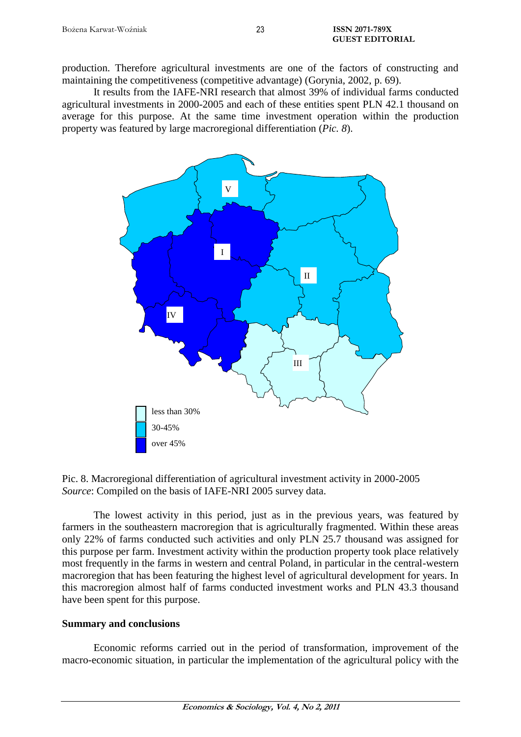production. Therefore agricultural investments are one of the factors of constructing and maintaining the competitiveness (competitive advantage) (Gorynia, 2002, p. 69).

It results from the IAFE-NRI research that almost 39% of individual farms conducted agricultural investments in 2000-2005 and each of these entities spent PLN 42.1 thousand on average for this purpose. At the same time investment operation within the production property was featured by large macroregional differentiation (*Pic. 8*).



Pic. 8. Macroregional differentiation of agricultural investment activity in 2000-2005 *Source*: Compiled on the basis of IAFE-NRI 2005 survey data.

The lowest activity in this period, just as in the previous years, was featured by farmers in the southeastern macroregion that is agriculturally fragmented. Within these areas only 22% of farms conducted such activities and only PLN 25.7 thousand was assigned for this purpose per farm. Investment activity within the production property took place relatively most frequently in the farms in western and central Poland, in particular in the central-western macroregion that has been featuring the highest level of agricultural development for years. In this macroregion almost half of farms conducted investment works and PLN 43.3 thousand have been spent for this purpose.

## **Summary and conclusions**

Economic reforms carried out in the period of transformation, improvement of the macro-economic situation, in particular the implementation of the agricultural policy with the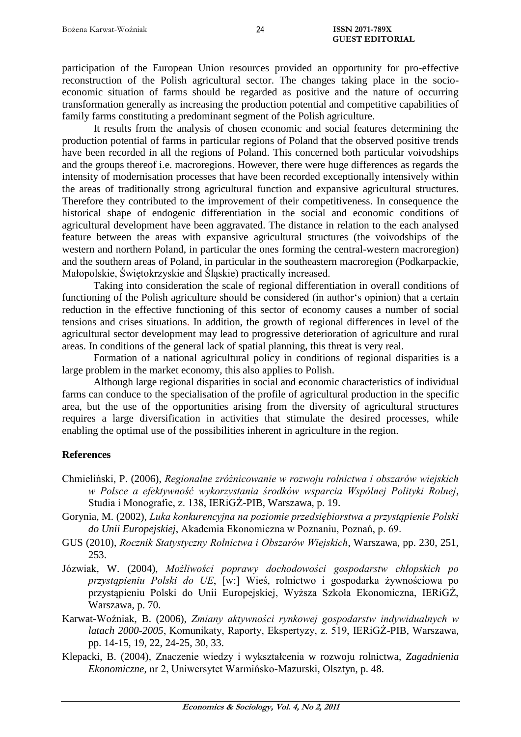participation of the European Union resources provided an opportunity for pro-effective reconstruction of the Polish agricultural sector. The changes taking place in the socioeconomic situation of farms should be regarded as positive and the nature of occurring transformation generally as increasing the production potential and competitive capabilities of family farms constituting a predominant segment of the Polish agriculture.

It results from the analysis of chosen economic and social features determining the production potential of farms in particular regions of Poland that the observed positive trends have been recorded in all the regions of Poland. This concerned both particular voivodships and the groups thereof i.e. macroregions. However, there were huge differences as regards the intensity of modernisation processes that have been recorded exceptionally intensively within the areas of traditionally strong agricultural function and expansive agricultural structures. Therefore they contributed to the improvement of their competitiveness. In consequence the historical shape of endogenic differentiation in the social and economic conditions of agricultural development have been aggravated. The distance in relation to the each analysed feature between the areas with expansive agricultural structures (the voivodships of the western and northern Poland, in particular the ones forming the central-western macroregion) and the southern areas of Poland, in particular in the southeastern macroregion (Podkarpackie, Małopolskie, Świętokrzyskie and Śląskie) practically increased.

Taking into consideration the scale of regional differentiation in overall conditions of functioning of the Polish agriculture should be considered (in author's opinion) that a certain reduction in the effective functioning of this sector of economy causes a number of social tensions and crises situations. In addition, the growth of regional differences in level of the agricultural sector development may lead to progressive deterioration of agriculture and rural areas. In conditions of the general lack of spatial planning, this threat is very real.

Formation of a national agricultural policy in conditions of regional disparities is a large problem in the market economy, this also applies to Polish.

Although large regional disparities in social and economic characteristics of individual farms can conduce to the specialisation of the profile of agricultural production in the specific area, but the use of the opportunities arising from the diversity of agricultural structures requires a large diversification in activities that stimulate the desired processes, while enabling the optimal use of the possibilities inherent in agriculture in the region.

#### **References**

- Chmieliński, P. (2006), *Regionalne zróżnicowanie w rozwoju rolnictwa i obszarów wiejskich w Polsce a efektywność wykorzystania środków wsparcia Wspólnej Polityki Rolnej*, Studia i Monografie, z. 138, IERiGŻ-PIB, Warszawa, p. 19.
- Gorynia, M. (2002), *Luka konkurencyjna na poziomie przedsiębiorstwa a przystąpienie Polski do Unii Europejskiej*, Akademia Ekonomiczna w Poznaniu, Poznań, p. 69.
- GUS (2010), *Rocznik Statystyczny Rolnictwa i Obszarów Wiejskich*, Warszawa, pp. 230, 251, 253.
- Józwiak, W. (2004), *Możliwości poprawy dochodowości gospodarstw chłopskich po przystąpieniu Polski do UE*, [w:] Wieś, rolnictwo i gospodarka żywnościowa po przystąpieniu Polski do Unii Europejskiej, Wyższa Szkoła Ekonomiczna, IERiGŻ, Warszawa, p. 70.
- Karwat-Woźniak, B. (2006), *Zmiany aktywności rynkowej gospodarstw indywidualnych w latach 2000-2005*, Komunikaty, Raporty, Ekspertyzy, z. 519, IERiGŻ-PIB, Warszawa, pp. 14-15, 19, 22, 24-25, 30, 33.
- Klepacki, B. (2004), Znaczenie wiedzy i wykształcenia w rozwoju rolnictwa, *Zagadnienia Ekonomiczne*, nr 2, Uniwersytet Warmińsko-Mazurski, Olsztyn, p. 48.